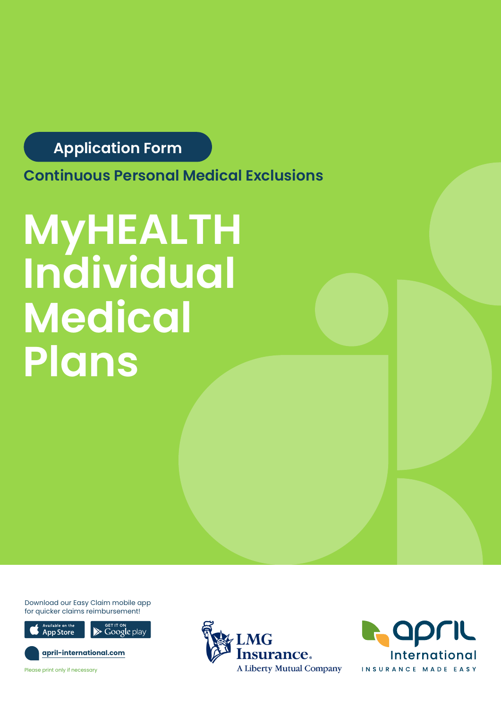**Application Form**

**Continuous Personal Medical Exclusions**

# **MyHEALTH Individual Medical Plans**

Download our Easy Claim mobile app for quicker claims reimbursement!



Insurance. **A Liberty Mutual Company** 



Please print only if necessary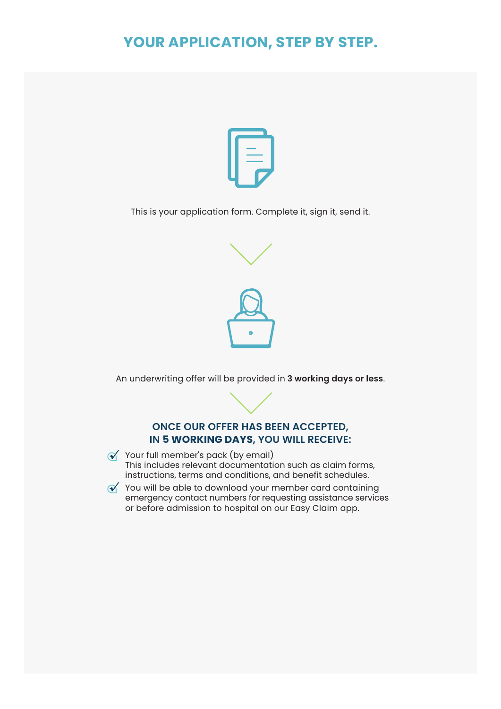## **YOUR APPLICATION, STEP BY STEP.**



This is your application form. Complete it, sign it, send it.



An underwriting offer will be provided in **3 working days or less**.

## **ONCE OUR OFFER HAS BEEN ACCEPTED, IN 5 WORKING DAYS, YOU WILL RECEIVE:**

 $\mathcal V$  Your full member's pack (by email) This includes relevant documentation such as claim forms, instructions, terms and conditions, and benefit schedules.

 $\mathcal{N}$  You will be able to download your member card containing emergency contact numbers for requesting assistance services or before admission to hospital on our Easy Claim app.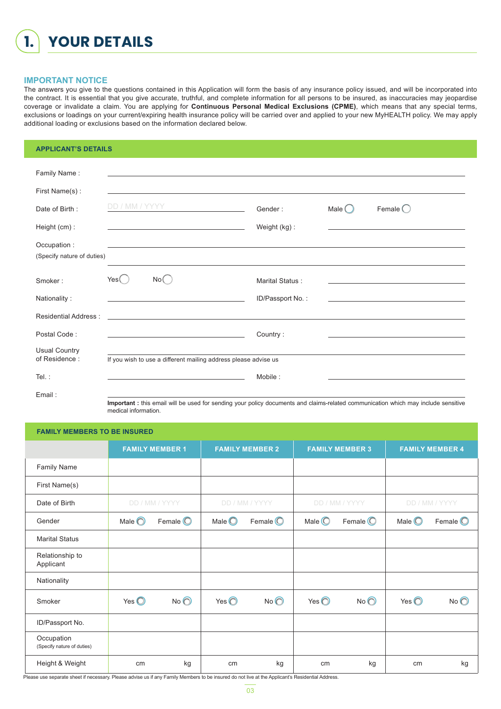| <b>1. YOUR DETAILS</b> |
|------------------------|
|                        |

#### **IMPORTANT NOTICE**

The answers you give to the questions contained in this Application will form the basis of any insurance policy issued, and will be incorporated into the contract. It is essential that you give accurate, truthful, and complete information for all persons to be insured, as inaccuracies may jeopardise coverage or invalidate a claim. You are applying for **Continuous Personal Medical Exclusions (CPME)**, which means that any special terms, exclusions or loadings on your current/expiring health insurance policy will be carried over and applied to your new MyHEALTH policy. We may apply additional loading or exclusions based on the information declared below.

#### **APPLICANT'S DETAILS**

| Family Name:                              |                                                                                                                              |                  |           |                                                                                                                        |
|-------------------------------------------|------------------------------------------------------------------------------------------------------------------------------|------------------|-----------|------------------------------------------------------------------------------------------------------------------------|
| First Name(s):                            | ,我们也不会有一个人的事情。""我们的人,我们也不会有一个人的人,我们也不会有一个人的人,我们也不会有一个人的人,我们也不会有一个人的人,我们也不会有一个人的人                                             |                  |           |                                                                                                                        |
| Date of Birth:                            | DD / MM / YYYY                                                                                                               | Gender:          | Male $()$ | Female $\bigcirc$                                                                                                      |
| Height (cm):                              | <u>and the second control of the second control of the second control of the second control of</u>                           | Weight (kg):     |           |                                                                                                                        |
| Occupation:<br>(Specify nature of duties) | ,我们也不会有什么。""我们的人,我们也不会有什么?""我们的人,我们也不会有什么?""我们的人,我们也不会有什么?""我们的人,我们也不会有什么?""我们的人                                             |                  |           |                                                                                                                        |
| Smoker:                                   | Yes( l<br>No (                                                                                                               | Marital Status:  |           | <u> 1989 - Johann John Stone, markin film yn y brening yn y brening yn y brening yn y brening yn y brening y breni</u> |
| Nationality:                              |                                                                                                                              | ID/Passport No.: |           | <u> 1989 - Johann Barbara, marka a shekara tsa 1989 - An tsa 1989 - An tsa 1989 - An tsa 1989 - An tsa 1989 - An</u>   |
|                                           |                                                                                                                              |                  |           |                                                                                                                        |
| Postal Code:                              | <u> 1989 - Johann Stoff, deutscher Stoffen und der Stoffen und der Stoffen und der Stoffen und der Stoffen und der</u>       | Country:         |           | the control of the control of the control of the control of the control of the control of                              |
| <b>Usual Country</b><br>of Residence:     | If you wish to use a different mailing address please advise us                                                              |                  |           |                                                                                                                        |
| Tel:                                      |                                                                                                                              | Mobile:          |           |                                                                                                                        |
| Email:                                    | Important this amplitude used for conding your policy documents and olaims related communication which may include consitive |                  |           |                                                                                                                        |

**Important :** this email will be used for sending your policy documents and claims-related communication which may include sensitive medical information.

| <b>FAMILY MEMBERS TO BE INSURED</b>      |                 |                        |                 |                        |                 |                        |                 |                        |
|------------------------------------------|-----------------|------------------------|-----------------|------------------------|-----------------|------------------------|-----------------|------------------------|
|                                          |                 | <b>FAMILY MEMBER 1</b> |                 | <b>FAMILY MEMBER 2</b> |                 | <b>FAMILY MEMBER 3</b> |                 | <b>FAMILY MEMBER 4</b> |
| Family Name                              |                 |                        |                 |                        |                 |                        |                 |                        |
| First Name(s)                            |                 |                        |                 |                        |                 |                        |                 |                        |
| Date of Birth                            |                 | DD / MM / YYYY         |                 | DD / MM / YYYY         |                 | DD / MM / YYYY         |                 | DD / MM / YYYY         |
| Gender                                   | Male $\bigcirc$ | Female $\bigcirc$      | Male $\bigcirc$ | Female $\bigcirc$      | Male $\bigcirc$ | Female $\bigcirc$      | Male $\bigcirc$ | Female $\bigcirc$      |
| <b>Marital Status</b>                    |                 |                        |                 |                        |                 |                        |                 |                        |
| Relationship to<br>Applicant             |                 |                        |                 |                        |                 |                        |                 |                        |
| Nationality                              |                 |                        |                 |                        |                 |                        |                 |                        |
| Smoker                                   | Yes $\bigcirc$  | No                     | Yes $\bigcirc$  | No                     | Yes $\bigcirc$  | No                     | Yes $\bigcirc$  | No                     |
| ID/Passport No.                          |                 |                        |                 |                        |                 |                        |                 |                        |
| Occupation<br>(Specify nature of duties) |                 |                        |                 |                        |                 |                        |                 |                        |
| Height & Weight                          | cm              | kg                     | cm              | kg                     | cm              | kg                     | cm              | kg                     |

Please use separate sheet if necessary. Please advise us if any Family Members to be insured do not live at the Applicant's Residential Address.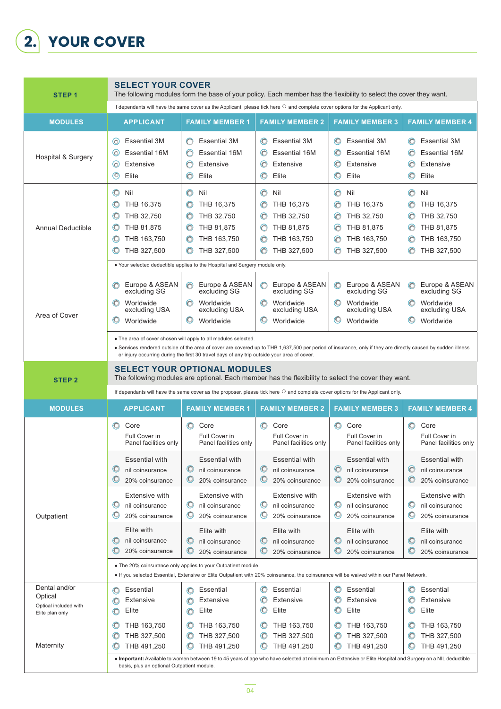# **2. YOUR COVER**

| STEP <sub>1</sub>                                                    | <b>SELECT YOUR COVER</b><br>The following modules form the base of your policy. Each member has the flexibility to select the cover they want.                                                                                                                                                       |                                                                                                                                                                                                                                                                                                                                                                                                                      |                                                                                                                                                                                                                                                                                        |                                                                                                                                                                                                                                                                           |                                                                                                                                                                                                                                                                           |  |
|----------------------------------------------------------------------|------------------------------------------------------------------------------------------------------------------------------------------------------------------------------------------------------------------------------------------------------------------------------------------------------|----------------------------------------------------------------------------------------------------------------------------------------------------------------------------------------------------------------------------------------------------------------------------------------------------------------------------------------------------------------------------------------------------------------------|----------------------------------------------------------------------------------------------------------------------------------------------------------------------------------------------------------------------------------------------------------------------------------------|---------------------------------------------------------------------------------------------------------------------------------------------------------------------------------------------------------------------------------------------------------------------------|---------------------------------------------------------------------------------------------------------------------------------------------------------------------------------------------------------------------------------------------------------------------------|--|
|                                                                      |                                                                                                                                                                                                                                                                                                      | If dependants will have the same cover as the Applicant, please tick here $\circ$ and complete cover options for the Applicant only.                                                                                                                                                                                                                                                                                 |                                                                                                                                                                                                                                                                                        |                                                                                                                                                                                                                                                                           |                                                                                                                                                                                                                                                                           |  |
| <b>MODULES</b>                                                       | <b>APPLICANT</b>                                                                                                                                                                                                                                                                                     | <b>FAMILY MEMBER 1</b>                                                                                                                                                                                                                                                                                                                                                                                               | <b>FAMILY MEMBER 2</b>                                                                                                                                                                                                                                                                 | <b>FAMILY MEMBER 3</b>                                                                                                                                                                                                                                                    | <b>FAMILY MEMBER 4</b>                                                                                                                                                                                                                                                    |  |
| Hospital & Surgery                                                   | <b>Essential 3M</b><br>$\circ$<br>$\odot$<br>Essential 16M<br>Extensive<br>$\circ$<br>$\circledcirc$<br>Elite                                                                                                                                                                                        | <b>Essential 3M</b><br>n<br>Essential 16M<br>Extensive<br>$\bullet$<br>Elite                                                                                                                                                                                                                                                                                                                                         | <b>Essential 3M</b><br>$\bigcirc$<br><b>Essential 16M</b><br>C<br>Extensive<br>$\circ$<br>Elite                                                                                                                                                                                        | <b>Essential 3M</b><br>O<br>Essential 16M<br>Extensive<br>O<br>Elite<br>$\boldsymbol{\Theta}$                                                                                                                                                                             | <b>Essential 3M</b><br>$\circ$<br>C<br>Essential 16M<br>Extensive<br>O<br>$\bullet$<br>Elite                                                                                                                                                                              |  |
| <b>Annual Deductible</b>                                             | O<br>Nil<br>THB 16,375<br>C<br>THB 32,750<br>C<br>THB 81,875<br>$\mathbb{C}$<br>C<br>THB 163,750<br>THB 327,500<br>C                                                                                                                                                                                 | Nil<br>O<br>THB 16,375<br>O<br>THB 32,750<br>THB 81,875<br>O<br>THB 163,750<br>THB 327,500<br>O<br>• Your selected deductible applies to the Hospital and Surgery module only.                                                                                                                                                                                                                                       | O<br>Nil<br>THB 16,375<br>$\mathbb C$<br>THB 32,750<br>C<br>THB 81,875<br>C<br>THB 163,750<br>THB 327,500                                                                                                                                                                              | $\bullet$<br>Nil<br>O<br>THB 16,375<br>THB 32,750<br>O<br>THB 81,875<br>n<br>THB 163,750<br>THB 327,500                                                                                                                                                                   | $\bullet$<br>Nil<br>O<br>THB 16,375<br>THB 32,750<br>O<br>THB 81,875<br>O<br>THB 163,750<br>THB 327,500                                                                                                                                                                   |  |
| Area of Cover                                                        | Europe & ASEAN<br>$\subset$<br>excluding SG<br>Worldwide<br>$\circ$<br>excluding USA<br>C<br>Worldwide                                                                                                                                                                                               | Europe & ASEAN<br>excluding SG<br>Worldwide<br>∩<br>excluding USA<br>O<br>Worldwide<br>. The area of cover chosen will apply to all modules selected.<br>• Services rendered outside of the area of cover are covered up to THB 1,637,500 per period of insurance, only if they are directly caused by sudden illness<br>or injury occurring during the first 30 travel days of any trip outside your area of cover. | Europe & ASEAN<br>O<br>excluding SG<br>Worldwide<br>$\bigcirc$<br>excluding USA<br>C<br>Worldwide                                                                                                                                                                                      | Europe & ASEAN<br>$\bigcirc$<br>excluding SG<br>Worldwide<br>O<br>excluding USA<br>O<br>Worldwide                                                                                                                                                                         | Europe & ASEAN<br>$\bigcirc$<br>excluding SG<br>Worldwide<br>$\bigcirc$<br>excluding USA<br>O<br>Worldwide                                                                                                                                                                |  |
| STEP <sub>2</sub>                                                    | <b>SELECT YOUR OPTIONAL MODULES</b><br>The following modules are optional. Each member has the flexibility to select the cover they want.                                                                                                                                                            |                                                                                                                                                                                                                                                                                                                                                                                                                      |                                                                                                                                                                                                                                                                                        |                                                                                                                                                                                                                                                                           |                                                                                                                                                                                                                                                                           |  |
| <b>MODULES</b>                                                       | If dependants will have the same cover as the proposer, please tick here $\circ$ and complete cover options for the Applicant only.<br><b>FAMILY MEMBER 1</b><br><b>FAMILY MEMBER 2</b><br><b>FAMILY MEMBER 3</b><br><b>APPLICANT</b>                                                                |                                                                                                                                                                                                                                                                                                                                                                                                                      |                                                                                                                                                                                                                                                                                        |                                                                                                                                                                                                                                                                           | <b>FAMILY MEMBER 4</b>                                                                                                                                                                                                                                                    |  |
| Outpatient                                                           | $\circ$<br>Core<br>Full Cover in<br>Panel facilities only<br><b>Essential with</b><br>$\bf{O}$<br>nil coinsurance<br>$\mathbf C$<br>20% coinsurance<br><b>Extensive with</b><br>$\bf\Theta$<br>nil coinsurance<br>O<br>20% coinsurance<br>Elite with<br>nil coinsurance<br>O<br>O<br>20% coinsurance | $\circ$<br>Core<br>Full Cover in<br>Panel facilities only<br><b>Essential with</b><br>$\mathbb C$<br>nil coinsurance<br>O<br>20% coinsurance<br><b>Extensive with</b><br>U<br>nil coinsurance<br>O<br>20% coinsurance<br>Elite with<br>Ó<br>nil coinsurance<br>$\mathbb C$<br>20% coinsurance                                                                                                                        | $\bigcirc$<br>Core<br>Full Cover in<br>Panel facilities only<br><b>Essential with</b><br>$\mathbb C$<br>nil coinsurance<br>C<br>20% coinsurance<br><b>Extensive with</b><br>U<br>nil coinsurance<br>U<br>20% coinsurance<br>Elite with<br>C<br>nil coinsurance<br>C<br>20% coinsurance | Core<br>$\circ$<br>Full Cover in<br>Panel facilities only<br><b>Essential with</b><br>O<br>nil coinsurance<br>C<br>20% coinsurance<br><b>Extensive with</b><br>U<br>nil coinsurance<br>O<br>20% coinsurance<br>Elite with<br>Ó<br>nil coinsurance<br>O<br>20% coinsurance | Core<br>$\circ$<br>Full Cover in<br>Panel facilities only<br><b>Essential with</b><br>O<br>nil coinsurance<br>O<br>20% coinsurance<br><b>Extensive with</b><br>U<br>nil coinsurance<br>Ó<br>20% coinsurance<br>Elite with<br>nil coinsurance<br>u<br>U<br>20% coinsurance |  |
|                                                                      |                                                                                                                                                                                                                                                                                                      | . The 20% coinsurance only applies to your Outpatient module.<br>. If you selected Essential, Extensive or Elite Outpatient with 20% coinsurance, the coinsurance will be waived within our Panel Network.                                                                                                                                                                                                           |                                                                                                                                                                                                                                                                                        |                                                                                                                                                                                                                                                                           |                                                                                                                                                                                                                                                                           |  |
| Dental and/or<br>Optical<br>Optical included with<br>Elite plan only | Essential<br>$\circ$<br><b>Extensive</b><br>O<br>Elite<br>O                                                                                                                                                                                                                                          | <b>Essential</b><br>O<br><b>Extensive</b><br>O<br>Elite<br>C                                                                                                                                                                                                                                                                                                                                                         | Essential<br>O<br>Extensive<br>Elite<br>O                                                                                                                                                                                                                                              | Essential<br>O<br>Extensive<br>O<br>Elite<br>O                                                                                                                                                                                                                            | Essential<br>O<br>Extensive<br>O<br>Elite<br>O                                                                                                                                                                                                                            |  |
| Maternity                                                            | THB 163,750<br>O<br>THB 327,500<br>C<br>THB 491,250<br>basis, plus an optional Outpatient module.                                                                                                                                                                                                    | THB 163,750<br>O<br>THB 327,500<br>O<br>THB 491,250<br>O<br>. Important: Available to women between 19 to 45 years of age who have selected at minimum an Extensive or Elite Hospital and Surgery on a NIL deductible                                                                                                                                                                                                | THB 163,750<br>O<br>THB 327,500<br>THB 491,250                                                                                                                                                                                                                                         | THB 163,750<br>O<br>THB 327,500<br>THB 491,250                                                                                                                                                                                                                            | THB 163,750<br>O<br>THB 327,500<br>THB 491,250                                                                                                                                                                                                                            |  |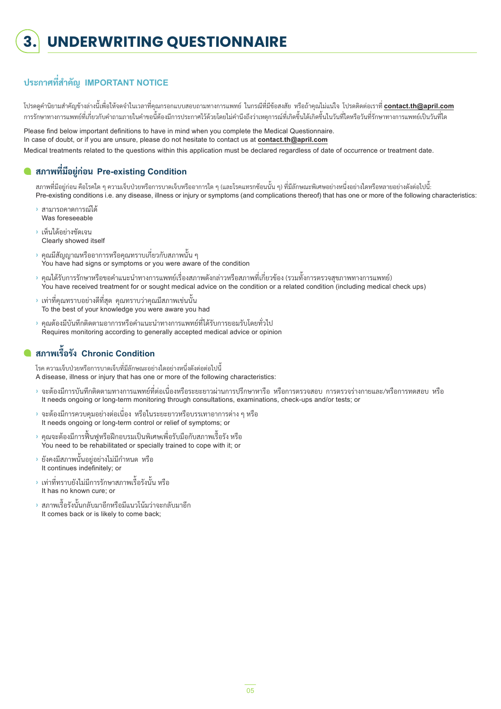## **ประกาศที่ สำ คัญ IMPORTANT NOTICE**

โปรดดูคำนิยามสำคัญข้างล่างนี้เพื่อให้จดจำในเวลาที่คุณกรอกแบบสอบถามทางการแพทย์ ในกรณีที่มีข้อสงสัย หรือถ้าคุณไม่แน่ใจ โปรดติดต่อเราที่ <mark>contact.th@april.com</mark> การรักษาทางการแพทย์ที่เกี่ยวกับคำถามภายในคำขอนี้ต้องมีการประกาศไว้ด้วยโดยไม่คำนึงถึงว่าเหตุการณ์ที่เกิดขึ้นได้เกิดขึ้นในวันที่ใดหรือวันที่รักษาทางการแพทย์เป็นวันที่ใด

Please find below important definitions to have in mind when you complete the Medical Questionnaire. In case of doubt, or if you are unsure, please do not hesitate to contact us at **contact.th@april.com** Medical treatments related to the questions within this application must be declared regardless of date of occurrence or treatment date.

### **สภาพที่ มีอยู่ก่อน Pre-existing Condition**

สภาพที่มีอยู่ก่อน คือโรคใด ๆ ความเจ็บป่วยหรือการบาดเจ็บหรืออาการใด ๆ (และโรคแทรกซ้อนนั้น ๆ) ที่มีลักษณะพิเศษอย่างหนึ่งอย่างใดหรือหลายอย่างดังต่อไปนี้: Pre-existing conditions i.e. any disease, illness or injury or symptoms (and complications thereof) that has one or more of the following characteristics:

- › สามารถคาดการณ์ได้ Was foreseeable
- › เห็นได้อย่างชัดเจน Clearly showed itself
- › คุณมีสัญญาณหรืออาการหรือคุณทราบเกี่ ยวกับสภาพนั้ น ๆ You have had signs or symptoms or you were aware of the condition
- › คุณได้รับการรักษาหรือขอคำแนะนำทางการแพทย์เรื่องสภาพดังกล่าวหรือสภาพที่เกี่ยวข้อง (รวมทั้งการตรวจสุขภาพทางการแพทย์) You have received treatment for or sought medical advice on the condition or a related condition (including medical check ups)
- › เท่าที่ คุณทราบอย่างดีที่ สุด คุณทราบว่าคุณมีสภาพเช่นนั้ น To the best of your knowledge you were aware you had
- › คุณต้องมีบันทึกติดตามอาการหรือคำ�แนะนำ�ทางการแพทย์ที่ ได้รับการยอมรับโดยทั่ วไป Requires monitoring according to generally accepted medical advice or opinion

## **สภาพเรื้ อรัง Chronic Condition**

โรค ความเจ็บป่ วยหรือการบาดเจ็บที่ มีลักษณะอย่างใดอย่างหนึ่ งดังต่อต่อไปนี้ A disease, illness or injury that has one or more of the following characteristics:

- › จะต้องมีการบันทึกติดตามทางการแพทย์ที่ต่อเนื่องหรือระยะยาวผ่านการปรึกษาหารือ หรือการตรวจสอบ การตรวจร่างกายและ/หรือการทดสอบ หรือ It needs ongoing or long-term monitoring through consultations, examinations, check-ups and/or tests; or
- › จะต้องมีการควบคุมอย่างต่อเนื่ อง หรือในระยะยาวหรือบรรเทาอาการต่าง ๆ หรือ It needs ongoing or long-term control or relief of symptoms; or
- › คุณจะต้องมีการฟื้ นฟูหรือฝึ กอบรมเป็ นพิเศษเพื่ อรับมือกับสภาพเรื้ อรัง หรือ You need to be rehabilitated or specially trained to cope with it; or
- › ยังคงมีสภาพนั้ นอยู่อย่างไม่มีกำ�หนด หรือ It continues indefinitely; or
- › เท่าที่ ทราบยังไม่มีการรักษาสภาพเรื้ อรังนั้ น หรือ It has no known cure; or
- › สภาพเรื้ อรังนั้ นกลับมาอีกหรือมีแนวโน้มว่าจะกลับมาอีก It comes back or is likely to come back;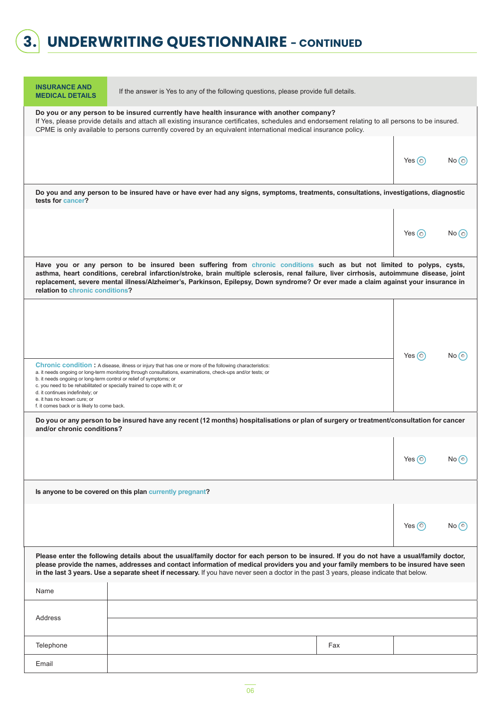

# **3. UNDERWRITING QUESTIONNAIRE - CONTINUED**

| <b>INSURANCE AND</b><br><b>MEDICAL DETAILS</b>                                                                                                                                                                                                                                                                                                                                                                                | If the answer is Yes to any of the following questions, please provide full details.                                                                                                                                                                                                                                                                                                                     |     |             |        |  |
|-------------------------------------------------------------------------------------------------------------------------------------------------------------------------------------------------------------------------------------------------------------------------------------------------------------------------------------------------------------------------------------------------------------------------------|----------------------------------------------------------------------------------------------------------------------------------------------------------------------------------------------------------------------------------------------------------------------------------------------------------------------------------------------------------------------------------------------------------|-----|-------------|--------|--|
| Do you or any person to be insured currently have health insurance with another company?<br>If Yes, please provide details and attach all existing insurance certificates, schedules and endorsement relating to all persons to be insured.<br>CPME is only available to persons currently covered by an equivalent international medical insurance policy.                                                                   |                                                                                                                                                                                                                                                                                                                                                                                                          |     |             |        |  |
|                                                                                                                                                                                                                                                                                                                                                                                                                               |                                                                                                                                                                                                                                                                                                                                                                                                          |     |             |        |  |
|                                                                                                                                                                                                                                                                                                                                                                                                                               |                                                                                                                                                                                                                                                                                                                                                                                                          |     | Yes $(0)$   | No (O  |  |
| tests for cancer?                                                                                                                                                                                                                                                                                                                                                                                                             | Do you and any person to be insured have or have ever had any signs, symptoms, treatments, consultations, investigations, diagnostic                                                                                                                                                                                                                                                                     |     |             |        |  |
|                                                                                                                                                                                                                                                                                                                                                                                                                               |                                                                                                                                                                                                                                                                                                                                                                                                          |     |             |        |  |
|                                                                                                                                                                                                                                                                                                                                                                                                                               |                                                                                                                                                                                                                                                                                                                                                                                                          |     | Yes $\odot$ | No (0) |  |
| relation to chronic conditions?                                                                                                                                                                                                                                                                                                                                                                                               | Have you or any person to be insured been suffering from chronic conditions such as but not limited to polyps, cysts,<br>asthma, heart conditions, cerebral infarction/stroke, brain multiple sclerosis, renal failure, liver cirrhosis, autoimmune disease, joint<br>replacement, severe mental illness/Alzheimer's, Parkinson, Epilepsy, Down syndrome? Or ever made a claim against your insurance in |     |             |        |  |
|                                                                                                                                                                                                                                                                                                                                                                                                                               |                                                                                                                                                                                                                                                                                                                                                                                                          |     |             |        |  |
|                                                                                                                                                                                                                                                                                                                                                                                                                               |                                                                                                                                                                                                                                                                                                                                                                                                          |     | Yes $\odot$ | No (°  |  |
| b. it needs ongoing or long-term control or relief of symptoms; or<br>d. it continues indefinitely; or<br>e. it has no known cure; or<br>f. it comes back or is likely to come back.                                                                                                                                                                                                                                          | <b>Chronic condition:</b> A disease, illness or injury that has one or more of the following characteristics:<br>a. it needs ongoing or long-term monitoring through consultations, examinations, check-ups and/or tests; or<br>c. you need to be rehabilitated or specially trained to cope with it; or                                                                                                 |     |             |        |  |
| and/or chronic conditions?                                                                                                                                                                                                                                                                                                                                                                                                    | Do you or any person to be insured have any recent (12 months) hospitalisations or plan of surgery or treatment/consultation for cancer                                                                                                                                                                                                                                                                  |     |             |        |  |
|                                                                                                                                                                                                                                                                                                                                                                                                                               |                                                                                                                                                                                                                                                                                                                                                                                                          |     | Yes $\odot$ | No     |  |
|                                                                                                                                                                                                                                                                                                                                                                                                                               | Is anyone to be covered on this plan currently pregnant?                                                                                                                                                                                                                                                                                                                                                 |     |             |        |  |
|                                                                                                                                                                                                                                                                                                                                                                                                                               |                                                                                                                                                                                                                                                                                                                                                                                                          |     |             |        |  |
|                                                                                                                                                                                                                                                                                                                                                                                                                               |                                                                                                                                                                                                                                                                                                                                                                                                          |     | Yes $(0)$   | No(°)  |  |
| Please enter the following details about the usual/family doctor for each person to be insured. If you do not have a usual/family doctor,<br>please provide the names, addresses and contact information of medical providers you and your family members to be insured have seen<br>in the last 3 years. Use a separate sheet if necessary. If you have never seen a doctor in the past 3 years, please indicate that below. |                                                                                                                                                                                                                                                                                                                                                                                                          |     |             |        |  |
| Name                                                                                                                                                                                                                                                                                                                                                                                                                          |                                                                                                                                                                                                                                                                                                                                                                                                          |     |             |        |  |
|                                                                                                                                                                                                                                                                                                                                                                                                                               |                                                                                                                                                                                                                                                                                                                                                                                                          |     |             |        |  |
| Address                                                                                                                                                                                                                                                                                                                                                                                                                       |                                                                                                                                                                                                                                                                                                                                                                                                          |     |             |        |  |
| Telephone                                                                                                                                                                                                                                                                                                                                                                                                                     |                                                                                                                                                                                                                                                                                                                                                                                                          | Fax |             |        |  |
| Email                                                                                                                                                                                                                                                                                                                                                                                                                         |                                                                                                                                                                                                                                                                                                                                                                                                          |     |             |        |  |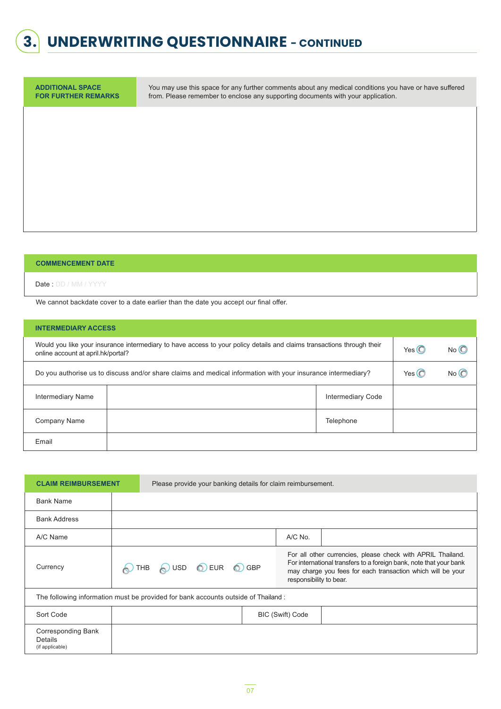

# **3. UNDERWRITING QUESTIONNAIRE - CONTINUED**

**ADDITIONAL SPACE FOR FURTHER REMARKS** You may use this space for any further comments about any medical conditions you have or have suffered from. Please remember to enclose any supporting documents with your application.

#### **COMMENCEMENT DATE**

Date: DD / MM / YYYY

We cannot backdate cover to a date earlier than the date you accept our final offer.

| <b>INTERMEDIARY ACCESS</b>                                                                                                                                                       |  |                          |  |       |  |
|----------------------------------------------------------------------------------------------------------------------------------------------------------------------------------|--|--------------------------|--|-------|--|
| Would you like your insurance intermediary to have access to your policy details and claims transactions through their<br>Yes $\mathcal O$<br>online account at april.hk/portal? |  |                          |  |       |  |
| Do you authorise us to discuss and/or share claims and medical information with your insurance intermediary?                                                                     |  |                          |  | No (( |  |
| <b>Intermediary Name</b>                                                                                                                                                         |  | <b>Intermediary Code</b> |  |       |  |
| Company Name                                                                                                                                                                     |  | Telephone                |  |       |  |
| Email                                                                                                                                                                            |  |                          |  |       |  |

| <b>CLAIM REIMBURSEMENT</b>                                                         |  | Please provide your banking details for claim reimbursement. |             |  |       |                         |                                                                                                                                                                                                  |
|------------------------------------------------------------------------------------|--|--------------------------------------------------------------|-------------|--|-------|-------------------------|--------------------------------------------------------------------------------------------------------------------------------------------------------------------------------------------------|
| <b>Bank Name</b>                                                                   |  |                                                              |             |  |       |                         |                                                                                                                                                                                                  |
| <b>Bank Address</b>                                                                |  |                                                              |             |  |       |                         |                                                                                                                                                                                                  |
| A/C Name                                                                           |  |                                                              |             |  |       | A/C No.                 |                                                                                                                                                                                                  |
| Currency                                                                           |  | USD<br>THB<br>$\sim$                                         | $\odot$ EUR |  | C GBP | responsibility to bear. | For all other currencies, please check with APRIL Thailand.<br>For international transfers to a foreign bank, note that your bank<br>may charge you fees for each transaction which will be your |
| The following information must be provided for bank accounts outside of Thailand : |  |                                                              |             |  |       |                         |                                                                                                                                                                                                  |
| Sort Code                                                                          |  |                                                              |             |  |       | <b>BIC (Swift) Code</b> |                                                                                                                                                                                                  |
| <b>Corresponding Bank</b><br>Details<br>(if applicable)                            |  |                                                              |             |  |       |                         |                                                                                                                                                                                                  |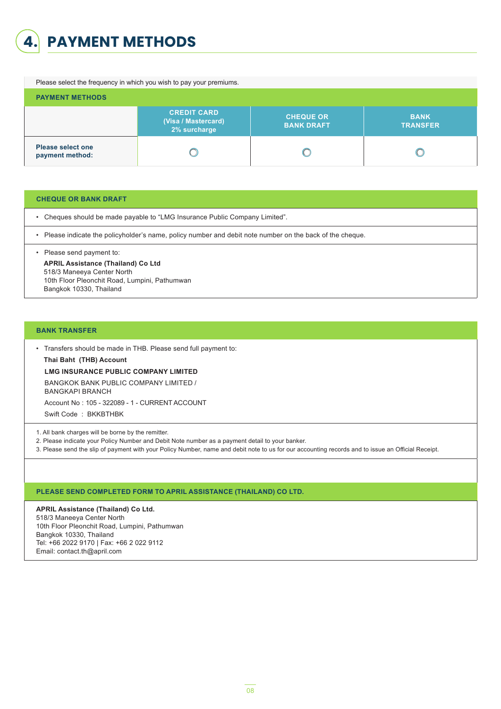

Please select the frequency in which you wish to pay your premiums.

| <b>PAYMENT METHODS</b>                      |                                                           |                                       |                                |
|---------------------------------------------|-----------------------------------------------------------|---------------------------------------|--------------------------------|
|                                             | <b>CREDIT CARD</b><br>(Visa / Mastercard)<br>2% surcharge | <b>CHEQUE OR</b><br><b>BANK DRAFT</b> | <b>BANK</b><br><b>TRANSFER</b> |
| <b>Please select one</b><br>payment method: |                                                           |                                       |                                |

#### **CHEQUE OR BANK DRAFT**

• Cheques should be made payable to "LMG Insurance Public Company Limited".

• Please indicate the policyholder's name, policy number and debit note number on the back of the cheque.

#### • Please send payment to:

**APRIL Assistance (Thailand) Co Ltd** 518/3 Maneeya Center North 10th Floor Pleonchit Road, Lumpini, Pathumwan Bangkok 10330, Thailand

#### **BANK TRANSFER**

• Transfers should be made in THB. Please send full payment to:

#### **Thai Baht (THB) Account**

**LMG INSURANCE PUBLIC COMPANY LIMITED**

BANGKOK BANK PUBLIC COMPANY LIMITED / BANGKAPI BRANCH

Account No : 105 - 322089 - 1 - CURRENT ACCOUNT Swift Code : BKKBTHBK

1. All bank charges will be borne by the remitter.

- 2. Please indicate your Policy Number and Debit Note number as a payment detail to your banker.
- 3. Please send the slip of payment with your Policy Number, name and debit note to us for our accounting records and to issue an Official Receipt.

#### **PLEASE SEND COMPLETED FORM TO APRIL ASSISTANCE (THAILAND) CO LTD.**

#### **APRIL Assistance (Thailand) Co Ltd.**

518/3 Maneeya Center North 10th Floor Pleonchit Road, Lumpini, Pathumwan Bangkok 10330, Thailand Tel: +66 2022 9170 | Fax: +66 2 022 9112 Email: contact.th@april.com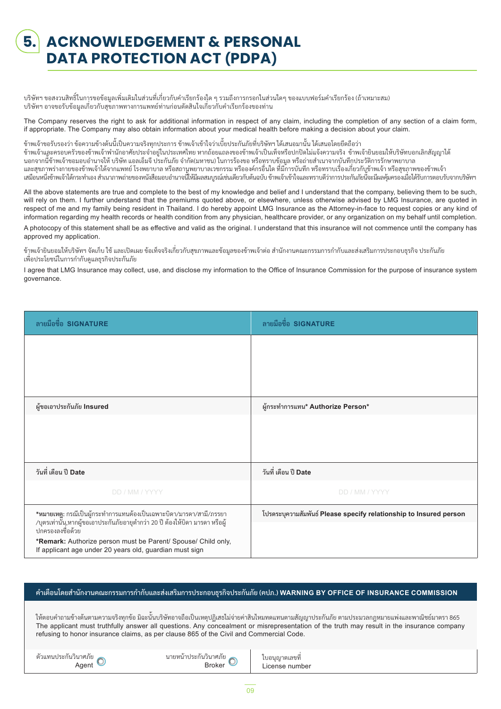## **5. ACKNOWLEDGEMENT & PERSONAL DATA PROTECTION ACT (PDPA)**

บริษัทฯ ขอสงวนสิทธิ์ในการขอข้อมูลเพิ่มเติมในส่วนที่เกี่ยวกับคำเรียกร้องใด ๆ รวมถึงการกรอกในส่วนใดๆ ของแบบฟอร์มคำเรียกร้อง (ถ้าเหมาะสม) บริษัทฯ อาจขอรับข้อมูลเกี่ยวกับสุขภาพทางการแพทย์ท่านก่อนตัดสินใจเกี่ยวกับคำเรียกร้องของท่าน

The Company reserves the right to ask for additional information in respect of any claim, including the completion of any section of a claim form, if appropriate. The Company may also obtain information about your medical health before making a decision about your claim.

ข้าพเจ้าขอรับรองว่า ข้อความข้างต้นนี้เป็นความจริงทุกประการ ข้าพเจ้าเข้าใจว่าเบี้ยประกันภัยที่บริษัทฯ ได้เสนอมานั้น ได้เสนอโดยยึดถือว่า ข้าพเจ้าและครอบครัวของข้าพเจ้าพำนักอาศัยประจำอยู่ในประเทศไทย หากถ้อยแถลงของข้าพเจ้าเป็นเท็จหรือปกปิดไม่แจ้งความจริง ข้าพเจ้ายินยอมให้บริษัทบอกเลิกสัญญาได้ นอกจากนี้ข้าพเจ้าขอมอบอำนาจให้ บริษัท แอลเอ็มจี ประกันภัย จำกัด(มหาชน) ในการร้องขอ หรือทุราบข้อมูล หรือถ่ายสำเนาจากบันทึกประวัติการรักษาพยาบาล และสุขภาพร่างกายของข้าพเจ้าได้จากแพทย์ โรงพยาบาล หรือสถานพยาบาลเวชกรรม หรือองค์กรอื่นใด ที่มีการบันทึก หรือหรือทำพยัง หรือสุขภาพของข้าพเจ้า เสมือนหนึ่งข้าพเจ้าได้กระทำเอง สำเนาภาพถ่ายของหนังสือมอบอำนาจนี้ให้มีผลสมบูรณ์เช่นเดียวกับต้างกรบระกับข้ามจะมีผสกุ้มครองเมื่อได้รับการตอบรับจากบริษัทฯ

All the above statements are true and complete to the best of my knowledge and belief and I understand that the company, believing them to be such, will rely on them. I further understand that the premiums quoted above, or elsewhere, unless otherwise advised by LMG Insurance, are quoted in respect of me and my family being resident in Thailand. I do hereby appoint LMG Insurance as the Attorney-in-face to request copies or any kind of information regarding my health records or health condition from any physician, healthcare provider, or any organization on my behalf until completion.

A photocopy of this statement shall be as effective and valid as the original. I understand that this insurance will not commence until the company has approved my application.

ข้าพเจ้ายินยอมให้บริษัทฯ จัดเก็บ ใช้ และเปิดเผย ข้อเท็จจริงเกี่ยวกับสุขภาพและข้อมูลของข้าพเจ้าต่อ สำนักงานคณะกรรมการกำกับและส่งเสริมการประกอบธุรกิจ ประกันภัย เพื่ อประโยชน์ในการกำ�กับดูแลธุรกิจประกันภัย

I agree that LMG Insurance may collect, use, and disclose my information to the Office of Insurance Commission for the purpose of insurance system governance.

| ลายมือชื่อ SIGNATURE                                                                                                                                | ลายมือชื่อ SIGNATURE                                               |
|-----------------------------------------------------------------------------------------------------------------------------------------------------|--------------------------------------------------------------------|
|                                                                                                                                                     |                                                                    |
|                                                                                                                                                     |                                                                    |
|                                                                                                                                                     |                                                                    |
| ผู้ขอเอาประกันภัย Insured                                                                                                                           | ผู้กระทำการแทน* Authorize Person*                                  |
|                                                                                                                                                     |                                                                    |
|                                                                                                                                                     |                                                                    |
|                                                                                                                                                     |                                                                    |
| วันที่ เดือน ปี <b>Date</b>                                                                                                                         | วันที่ เดือน ปี Date                                               |
| DD / MM / YYYY                                                                                                                                      | DD / MM / YYYY                                                     |
| *หมายเหตุ: กรณีเป็นผู้กระทำการแทนต้องเป็นเฉพาะบิดา/มารดา/สามี/ภรรยา<br>/บุตรเท่านั้น,หากผู้ขอเอาประกันภัยอายุตำกว่า 20 ปี ต้องให้บิดา มารดา หรือผู้ | โปรดระบุความสัมพันธ์ Please specify relationship to Insured person |
| ปกครองลงชื่อด้วย                                                                                                                                    |                                                                    |
| *Remark: Authorize person must be Parent/ Spouse/ Child only,<br>If applicant age under 20 years old, guardian must sign                            |                                                                    |

#### คำ เตือนโดยสำ นักงานคณะกรรมการกำ กับและส่งเสริมการประกอบธุรกิจประกันภัย (คปภ.) **WARNING BY OFFICE OF INSURANCE COMMISSION**

ให้ตอบคำถามข้างต้นตามความจริงทุกข้อ มิฉะนั้นบริษัทอาจถือเป็นเหตุปฏิเสธไม่จ่ายค่าสินไหมทดแทนตามสัญญาประกันภัย ตามประมวลกฎหมายแพ่งและพาณิชย์มาตรา 865 The applicant must truthfully answer all questions. Any concealment or misrepresentation of the truth may result in the insurance company refusing to honor insurance claims, as per clause 865 of the Civil and Commercial Code.

ตัวแทนประกันวินาศภัย



License number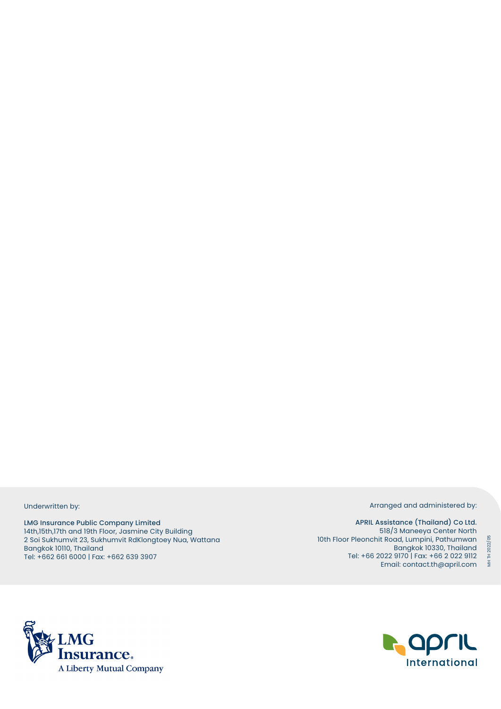Underwritten by:

LMG Insurance Public Company Limited 14th,15th,17th and 19th Floor, Jasmine City Building 2 Soi Sukhumvit 23, Sukhumvit RdKlongtoey Nua, Wattana Bangkok 10110, Thailand Tel: +662 661 6000 | Fax: +662 639 3907

Arranged and administered by:

MH TH 2022/05

APRIL Assistance (Thailand) Co Ltd. 518/3 Maneeya Center North 10th Floor Pleonchit Road, Lumpini, Pathumwan Bangkok 10330, Thailand Tel: +66 2022 9170 | Fax: +66 2 022 9112 Email: contact.th@april.com